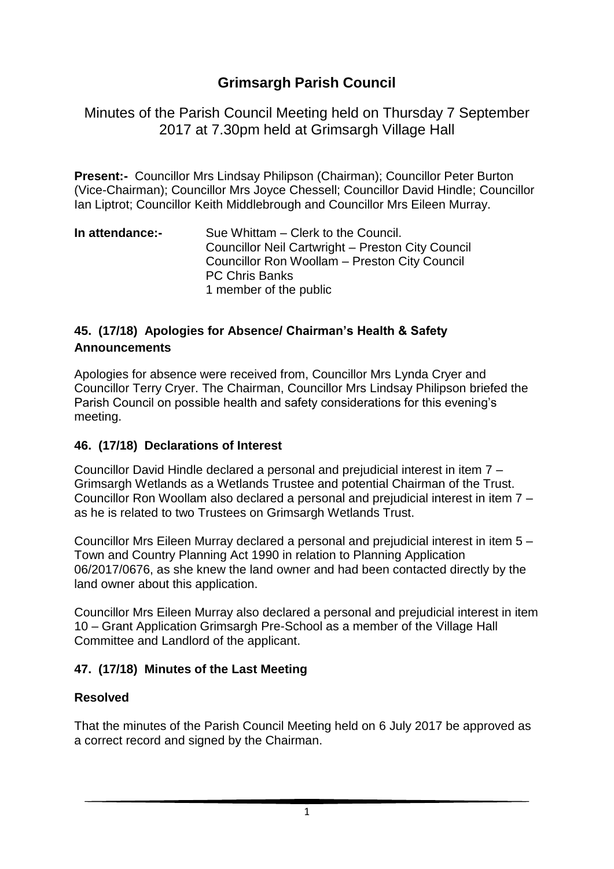# **Grimsargh Parish Council**

Minutes of the Parish Council Meeting held on Thursday 7 September 2017 at 7.30pm held at Grimsargh Village Hall

**Present:-** Councillor Mrs Lindsay Philipson (Chairman); Councillor Peter Burton (Vice-Chairman); Councillor Mrs Joyce Chessell; Councillor David Hindle; Councillor Ian Liptrot; Councillor Keith Middlebrough and Councillor Mrs Eileen Murray.

**In attendance:-** Sue Whittam – Clerk to the Council. Councillor Neil Cartwright – Preston City Council Councillor Ron Woollam – Preston City Council PC Chris Banks 1 member of the public

#### **45. (17/18) Apologies for Absence/ Chairman's Health & Safety Announcements**

Apologies for absence were received from, Councillor Mrs Lynda Cryer and Councillor Terry Cryer. The Chairman, Councillor Mrs Lindsay Philipson briefed the Parish Council on possible health and safety considerations for this evening's meeting.

#### **46. (17/18) Declarations of Interest**

Councillor David Hindle declared a personal and prejudicial interest in item 7 – Grimsargh Wetlands as a Wetlands Trustee and potential Chairman of the Trust. Councillor Ron Woollam also declared a personal and prejudicial interest in item 7 – as he is related to two Trustees on Grimsargh Wetlands Trust.

Councillor Mrs Eileen Murray declared a personal and prejudicial interest in item 5 – Town and Country Planning Act 1990 in relation to Planning Application 06/2017/0676, as she knew the land owner and had been contacted directly by the land owner about this application.

Councillor Mrs Eileen Murray also declared a personal and prejudicial interest in item 10 – Grant Application Grimsargh Pre-School as a member of the Village Hall Committee and Landlord of the applicant.

### **47. (17/18) Minutes of the Last Meeting**

#### **Resolved**

That the minutes of the Parish Council Meeting held on 6 July 2017 be approved as a correct record and signed by the Chairman.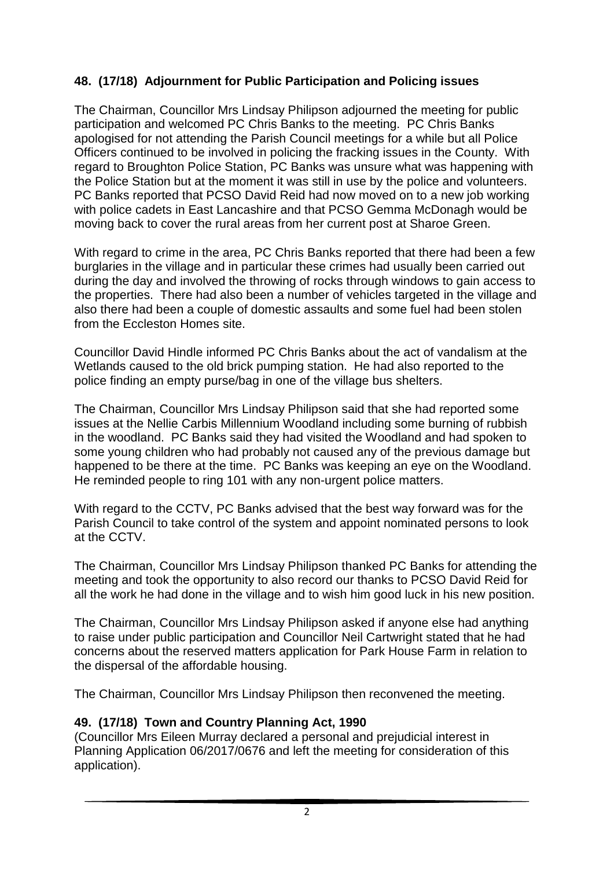## **48. (17/18) Adjournment for Public Participation and Policing issues**

The Chairman, Councillor Mrs Lindsay Philipson adjourned the meeting for public participation and welcomed PC Chris Banks to the meeting. PC Chris Banks apologised for not attending the Parish Council meetings for a while but all Police Officers continued to be involved in policing the fracking issues in the County. With regard to Broughton Police Station, PC Banks was unsure what was happening with the Police Station but at the moment it was still in use by the police and volunteers. PC Banks reported that PCSO David Reid had now moved on to a new job working with police cadets in East Lancashire and that PCSO Gemma McDonagh would be moving back to cover the rural areas from her current post at Sharoe Green.

With regard to crime in the area, PC Chris Banks reported that there had been a few burglaries in the village and in particular these crimes had usually been carried out during the day and involved the throwing of rocks through windows to gain access to the properties. There had also been a number of vehicles targeted in the village and also there had been a couple of domestic assaults and some fuel had been stolen from the Eccleston Homes site.

Councillor David Hindle informed PC Chris Banks about the act of vandalism at the Wetlands caused to the old brick pumping station. He had also reported to the police finding an empty purse/bag in one of the village bus shelters.

The Chairman, Councillor Mrs Lindsay Philipson said that she had reported some issues at the Nellie Carbis Millennium Woodland including some burning of rubbish in the woodland. PC Banks said they had visited the Woodland and had spoken to some young children who had probably not caused any of the previous damage but happened to be there at the time. PC Banks was keeping an eye on the Woodland. He reminded people to ring 101 with any non-urgent police matters.

With regard to the CCTV, PC Banks advised that the best way forward was for the Parish Council to take control of the system and appoint nominated persons to look at the CCTV.

The Chairman, Councillor Mrs Lindsay Philipson thanked PC Banks for attending the meeting and took the opportunity to also record our thanks to PCSO David Reid for all the work he had done in the village and to wish him good luck in his new position.

The Chairman, Councillor Mrs Lindsay Philipson asked if anyone else had anything to raise under public participation and Councillor Neil Cartwright stated that he had concerns about the reserved matters application for Park House Farm in relation to the dispersal of the affordable housing.

The Chairman, Councillor Mrs Lindsay Philipson then reconvened the meeting.

### **49. (17/18) Town and Country Planning Act, 1990**

(Councillor Mrs Eileen Murray declared a personal and prejudicial interest in Planning Application 06/2017/0676 and left the meeting for consideration of this application).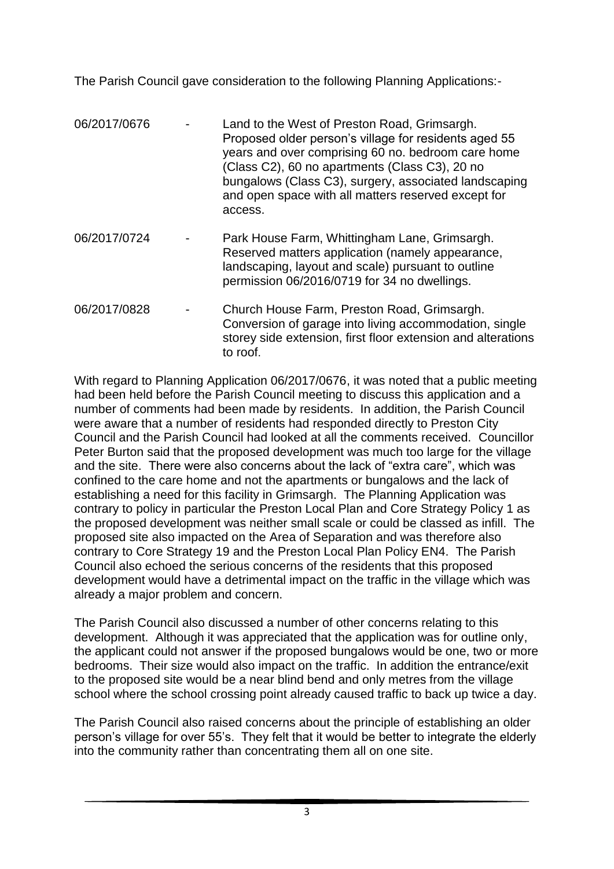The Parish Council gave consideration to the following Planning Applications:-

| 06/2017/0676 | Land to the West of Preston Road, Grimsargh.<br>Proposed older person's village for residents aged 55<br>years and over comprising 60 no. bedroom care home<br>(Class C2), 60 no apartments (Class C3), 20 no<br>bungalows (Class C3), surgery, associated landscaping<br>and open space with all matters reserved except for<br>access. |
|--------------|------------------------------------------------------------------------------------------------------------------------------------------------------------------------------------------------------------------------------------------------------------------------------------------------------------------------------------------|
| 06/2017/0724 | Park House Farm, Whittingham Lane, Grimsargh.<br>Reserved matters application (namely appearance,<br>landscaping, layout and scale) pursuant to outline<br>permission 06/2016/0719 for 34 no dwellings.                                                                                                                                  |
| 06/2017/0828 | Church House Farm, Preston Road, Grimsargh.<br>Conversion of garage into living accommodation, single                                                                                                                                                                                                                                    |

to roof.

storey side extension, first floor extension and alterations

With regard to Planning Application 06/2017/0676, it was noted that a public meeting had been held before the Parish Council meeting to discuss this application and a number of comments had been made by residents. In addition, the Parish Council were aware that a number of residents had responded directly to Preston City Council and the Parish Council had looked at all the comments received. Councillor Peter Burton said that the proposed development was much too large for the village and the site. There were also concerns about the lack of "extra care", which was confined to the care home and not the apartments or bungalows and the lack of establishing a need for this facility in Grimsargh. The Planning Application was contrary to policy in particular the Preston Local Plan and Core Strategy Policy 1 as the proposed development was neither small scale or could be classed as infill. The proposed site also impacted on the Area of Separation and was therefore also contrary to Core Strategy 19 and the Preston Local Plan Policy EN4. The Parish Council also echoed the serious concerns of the residents that this proposed development would have a detrimental impact on the traffic in the village which was already a major problem and concern.

The Parish Council also discussed a number of other concerns relating to this development. Although it was appreciated that the application was for outline only, the applicant could not answer if the proposed bungalows would be one, two or more bedrooms. Their size would also impact on the traffic. In addition the entrance/exit to the proposed site would be a near blind bend and only metres from the village school where the school crossing point already caused traffic to back up twice a day.

The Parish Council also raised concerns about the principle of establishing an older person's village for over 55's. They felt that it would be better to integrate the elderly into the community rather than concentrating them all on one site.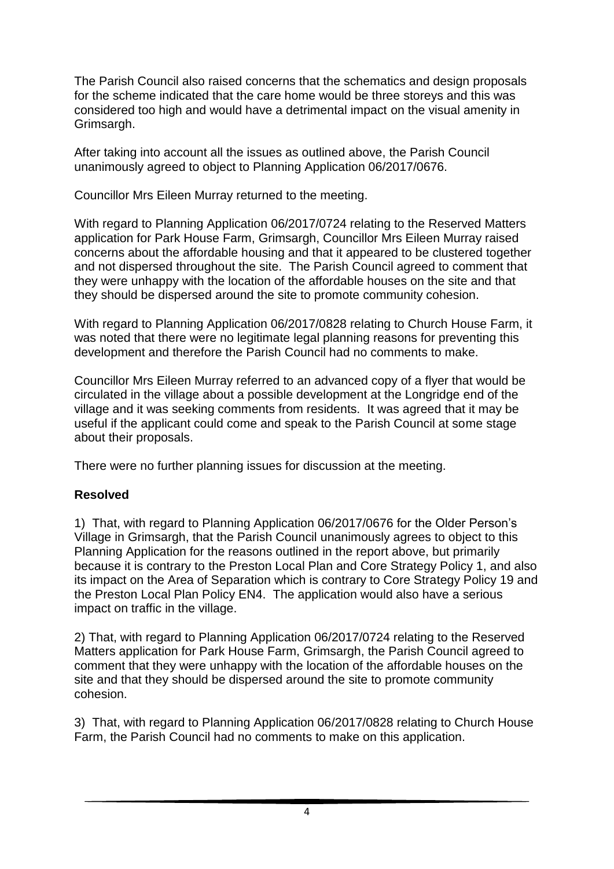The Parish Council also raised concerns that the schematics and design proposals for the scheme indicated that the care home would be three storeys and this was considered too high and would have a detrimental impact on the visual amenity in Grimsargh.

After taking into account all the issues as outlined above, the Parish Council unanimously agreed to object to Planning Application 06/2017/0676.

Councillor Mrs Eileen Murray returned to the meeting.

With regard to Planning Application 06/2017/0724 relating to the Reserved Matters application for Park House Farm, Grimsargh, Councillor Mrs Eileen Murray raised concerns about the affordable housing and that it appeared to be clustered together and not dispersed throughout the site. The Parish Council agreed to comment that they were unhappy with the location of the affordable houses on the site and that they should be dispersed around the site to promote community cohesion.

With regard to Planning Application 06/2017/0828 relating to Church House Farm, it was noted that there were no legitimate legal planning reasons for preventing this development and therefore the Parish Council had no comments to make.

Councillor Mrs Eileen Murray referred to an advanced copy of a flyer that would be circulated in the village about a possible development at the Longridge end of the village and it was seeking comments from residents. It was agreed that it may be useful if the applicant could come and speak to the Parish Council at some stage about their proposals.

There were no further planning issues for discussion at the meeting.

### **Resolved**

1) That, with regard to Planning Application 06/2017/0676 for the Older Person's Village in Grimsargh, that the Parish Council unanimously agrees to object to this Planning Application for the reasons outlined in the report above, but primarily because it is contrary to the Preston Local Plan and Core Strategy Policy 1, and also its impact on the Area of Separation which is contrary to Core Strategy Policy 19 and the Preston Local Plan Policy EN4. The application would also have a serious impact on traffic in the village.

2) That, with regard to Planning Application 06/2017/0724 relating to the Reserved Matters application for Park House Farm, Grimsargh, the Parish Council agreed to comment that they were unhappy with the location of the affordable houses on the site and that they should be dispersed around the site to promote community cohesion.

3) That, with regard to Planning Application 06/2017/0828 relating to Church House Farm, the Parish Council had no comments to make on this application.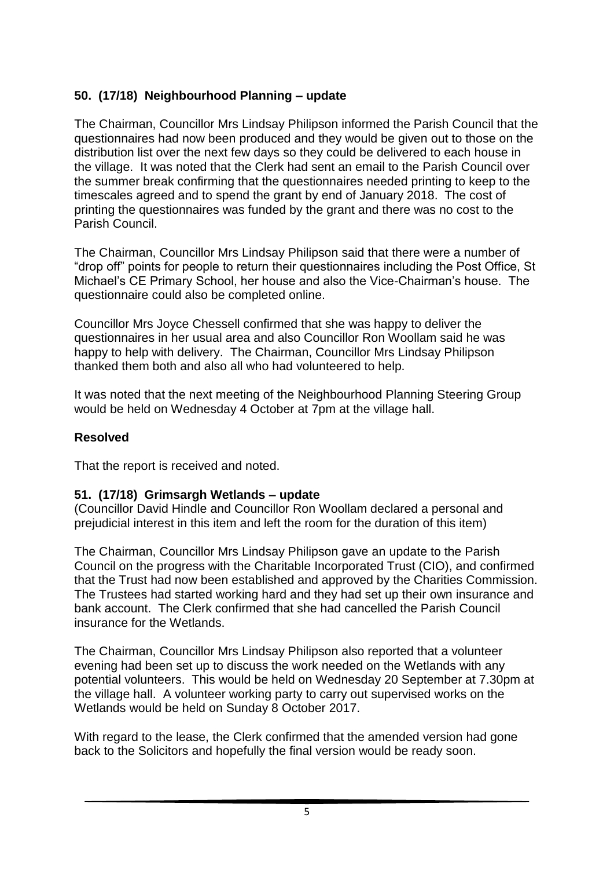## **50. (17/18) Neighbourhood Planning – update**

The Chairman, Councillor Mrs Lindsay Philipson informed the Parish Council that the questionnaires had now been produced and they would be given out to those on the distribution list over the next few days so they could be delivered to each house in the village. It was noted that the Clerk had sent an email to the Parish Council over the summer break confirming that the questionnaires needed printing to keep to the timescales agreed and to spend the grant by end of January 2018. The cost of printing the questionnaires was funded by the grant and there was no cost to the Parish Council.

The Chairman, Councillor Mrs Lindsay Philipson said that there were a number of "drop off" points for people to return their questionnaires including the Post Office, St Michael's CE Primary School, her house and also the Vice-Chairman's house. The questionnaire could also be completed online.

Councillor Mrs Joyce Chessell confirmed that she was happy to deliver the questionnaires in her usual area and also Councillor Ron Woollam said he was happy to help with delivery. The Chairman, Councillor Mrs Lindsay Philipson thanked them both and also all who had volunteered to help.

It was noted that the next meeting of the Neighbourhood Planning Steering Group would be held on Wednesday 4 October at 7pm at the village hall.

### **Resolved**

That the report is received and noted.

#### **51. (17/18) Grimsargh Wetlands – update**

(Councillor David Hindle and Councillor Ron Woollam declared a personal and prejudicial interest in this item and left the room for the duration of this item)

The Chairman, Councillor Mrs Lindsay Philipson gave an update to the Parish Council on the progress with the Charitable Incorporated Trust (CIO), and confirmed that the Trust had now been established and approved by the Charities Commission. The Trustees had started working hard and they had set up their own insurance and bank account. The Clerk confirmed that she had cancelled the Parish Council insurance for the Wetlands.

The Chairman, Councillor Mrs Lindsay Philipson also reported that a volunteer evening had been set up to discuss the work needed on the Wetlands with any potential volunteers. This would be held on Wednesday 20 September at 7.30pm at the village hall. A volunteer working party to carry out supervised works on the Wetlands would be held on Sunday 8 October 2017.

With regard to the lease, the Clerk confirmed that the amended version had gone back to the Solicitors and hopefully the final version would be ready soon.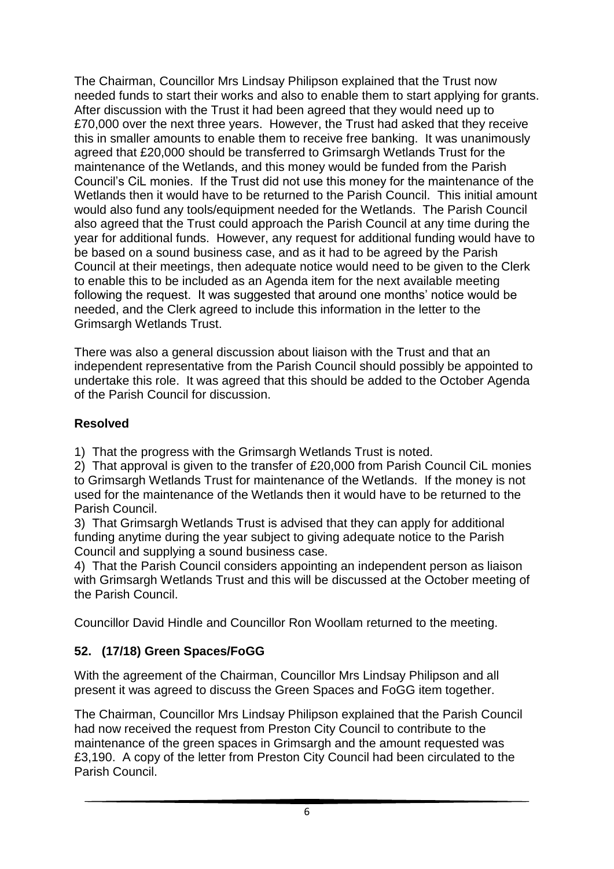The Chairman, Councillor Mrs Lindsay Philipson explained that the Trust now needed funds to start their works and also to enable them to start applying for grants. After discussion with the Trust it had been agreed that they would need up to £70,000 over the next three years. However, the Trust had asked that they receive this in smaller amounts to enable them to receive free banking. It was unanimously agreed that £20,000 should be transferred to Grimsargh Wetlands Trust for the maintenance of the Wetlands, and this money would be funded from the Parish Council's CiL monies. If the Trust did not use this money for the maintenance of the Wetlands then it would have to be returned to the Parish Council. This initial amount would also fund any tools/equipment needed for the Wetlands. The Parish Council also agreed that the Trust could approach the Parish Council at any time during the year for additional funds. However, any request for additional funding would have to be based on a sound business case, and as it had to be agreed by the Parish Council at their meetings, then adequate notice would need to be given to the Clerk to enable this to be included as an Agenda item for the next available meeting following the request. It was suggested that around one months' notice would be needed, and the Clerk agreed to include this information in the letter to the Grimsargh Wetlands Trust.

There was also a general discussion about liaison with the Trust and that an independent representative from the Parish Council should possibly be appointed to undertake this role. It was agreed that this should be added to the October Agenda of the Parish Council for discussion.

### **Resolved**

1) That the progress with the Grimsargh Wetlands Trust is noted.

2) That approval is given to the transfer of £20,000 from Parish Council CiL monies to Grimsargh Wetlands Trust for maintenance of the Wetlands. If the money is not used for the maintenance of the Wetlands then it would have to be returned to the Parish Council.

3) That Grimsargh Wetlands Trust is advised that they can apply for additional funding anytime during the year subject to giving adequate notice to the Parish Council and supplying a sound business case.

4) That the Parish Council considers appointing an independent person as liaison with Grimsargh Wetlands Trust and this will be discussed at the October meeting of the Parish Council.

Councillor David Hindle and Councillor Ron Woollam returned to the meeting.

## **52. (17/18) Green Spaces/FoGG**

With the agreement of the Chairman, Councillor Mrs Lindsay Philipson and all present it was agreed to discuss the Green Spaces and FoGG item together.

The Chairman, Councillor Mrs Lindsay Philipson explained that the Parish Council had now received the request from Preston City Council to contribute to the maintenance of the green spaces in Grimsargh and the amount requested was £3,190. A copy of the letter from Preston City Council had been circulated to the Parish Council.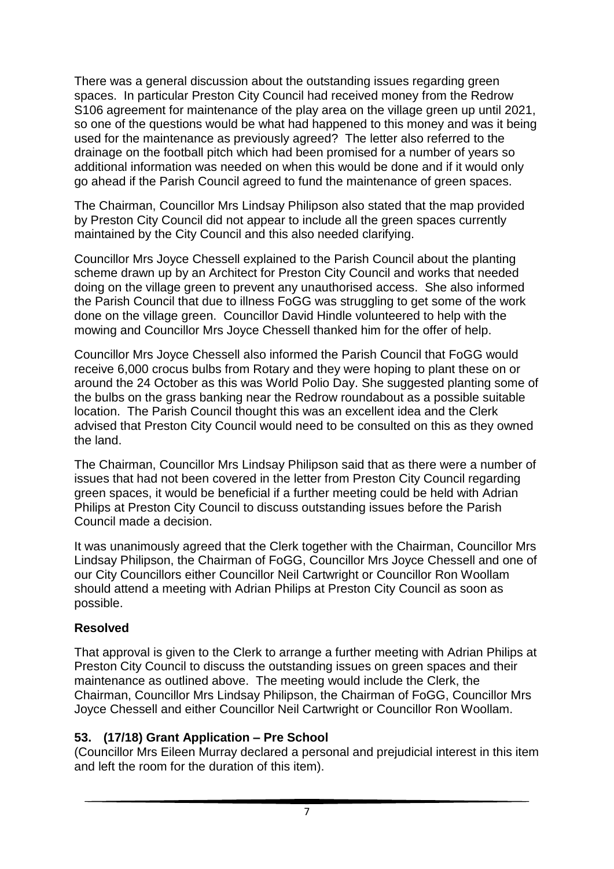There was a general discussion about the outstanding issues regarding green spaces. In particular Preston City Council had received money from the Redrow S106 agreement for maintenance of the play area on the village green up until 2021, so one of the questions would be what had happened to this money and was it being used for the maintenance as previously agreed? The letter also referred to the drainage on the football pitch which had been promised for a number of years so additional information was needed on when this would be done and if it would only go ahead if the Parish Council agreed to fund the maintenance of green spaces.

The Chairman, Councillor Mrs Lindsay Philipson also stated that the map provided by Preston City Council did not appear to include all the green spaces currently maintained by the City Council and this also needed clarifying.

Councillor Mrs Joyce Chessell explained to the Parish Council about the planting scheme drawn up by an Architect for Preston City Council and works that needed doing on the village green to prevent any unauthorised access. She also informed the Parish Council that due to illness FoGG was struggling to get some of the work done on the village green. Councillor David Hindle volunteered to help with the mowing and Councillor Mrs Joyce Chessell thanked him for the offer of help.

Councillor Mrs Joyce Chessell also informed the Parish Council that FoGG would receive 6,000 crocus bulbs from Rotary and they were hoping to plant these on or around the 24 October as this was World Polio Day. She suggested planting some of the bulbs on the grass banking near the Redrow roundabout as a possible suitable location. The Parish Council thought this was an excellent idea and the Clerk advised that Preston City Council would need to be consulted on this as they owned the land.

The Chairman, Councillor Mrs Lindsay Philipson said that as there were a number of issues that had not been covered in the letter from Preston City Council regarding green spaces, it would be beneficial if a further meeting could be held with Adrian Philips at Preston City Council to discuss outstanding issues before the Parish Council made a decision.

It was unanimously agreed that the Clerk together with the Chairman, Councillor Mrs Lindsay Philipson, the Chairman of FoGG, Councillor Mrs Joyce Chessell and one of our City Councillors either Councillor Neil Cartwright or Councillor Ron Woollam should attend a meeting with Adrian Philips at Preston City Council as soon as possible.

### **Resolved**

That approval is given to the Clerk to arrange a further meeting with Adrian Philips at Preston City Council to discuss the outstanding issues on green spaces and their maintenance as outlined above. The meeting would include the Clerk, the Chairman, Councillor Mrs Lindsay Philipson, the Chairman of FoGG, Councillor Mrs Joyce Chessell and either Councillor Neil Cartwright or Councillor Ron Woollam.

### **53. (17/18) Grant Application – Pre School**

(Councillor Mrs Eileen Murray declared a personal and prejudicial interest in this item and left the room for the duration of this item).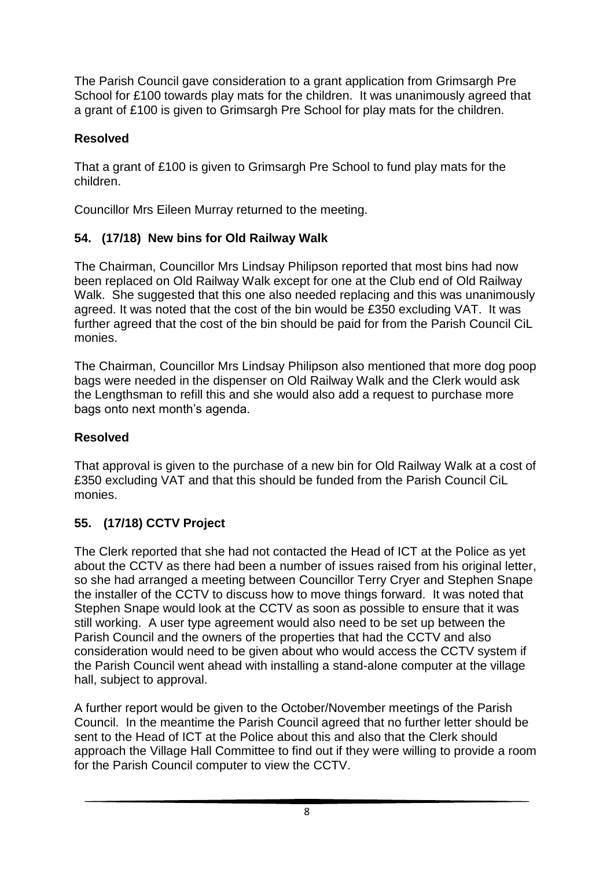The Parish Council gave consideration to a grant application from Grimsargh Pre School for £100 towards play mats for the children. It was unanimously agreed that a grant of £100 is given to Grimsargh Pre School for play mats for the children.

## **Resolved**

That a grant of £100 is given to Grimsargh Pre School to fund play mats for the children.

Councillor Mrs Eileen Murray returned to the meeting.

# **54. (17/18) New bins for Old Railway Walk**

The Chairman, Councillor Mrs Lindsay Philipson reported that most bins had now been replaced on Old Railway Walk except for one at the Club end of Old Railway Walk. She suggested that this one also needed replacing and this was unanimously agreed. It was noted that the cost of the bin would be £350 excluding VAT. It was further agreed that the cost of the bin should be paid for from the Parish Council CiL monies.

The Chairman, Councillor Mrs Lindsay Philipson also mentioned that more dog poop bags were needed in the dispenser on Old Railway Walk and the Clerk would ask the Lengthsman to refill this and she would also add a request to purchase more bags onto next month's agenda.

# **Resolved**

That approval is given to the purchase of a new bin for Old Railway Walk at a cost of £350 excluding VAT and that this should be funded from the Parish Council CiL monies.

# **55. (17/18) CCTV Project**

The Clerk reported that she had not contacted the Head of ICT at the Police as yet about the CCTV as there had been a number of issues raised from his original letter, so she had arranged a meeting between Councillor Terry Cryer and Stephen Snape the installer of the CCTV to discuss how to move things forward. It was noted that Stephen Snape would look at the CCTV as soon as possible to ensure that it was still working. A user type agreement would also need to be set up between the Parish Council and the owners of the properties that had the CCTV and also consideration would need to be given about who would access the CCTV system if the Parish Council went ahead with installing a stand-alone computer at the village hall, subject to approval.

A further report would be given to the October/November meetings of the Parish Council. In the meantime the Parish Council agreed that no further letter should be sent to the Head of ICT at the Police about this and also that the Clerk should approach the Village Hall Committee to find out if they were willing to provide a room for the Parish Council computer to view the CCTV.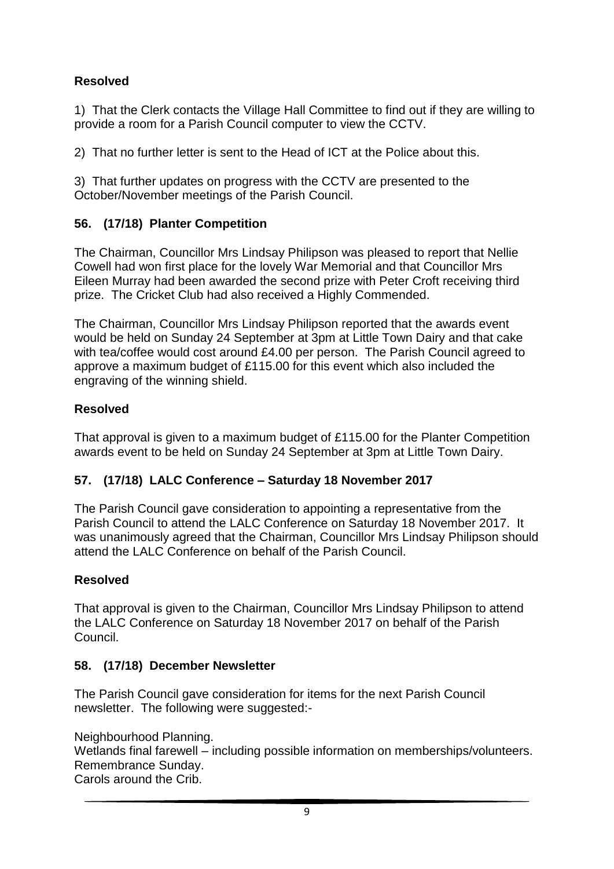## **Resolved**

1) That the Clerk contacts the Village Hall Committee to find out if they are willing to provide a room for a Parish Council computer to view the CCTV.

2) That no further letter is sent to the Head of ICT at the Police about this.

3) That further updates on progress with the CCTV are presented to the October/November meetings of the Parish Council.

## **56. (17/18) Planter Competition**

The Chairman, Councillor Mrs Lindsay Philipson was pleased to report that Nellie Cowell had won first place for the lovely War Memorial and that Councillor Mrs Eileen Murray had been awarded the second prize with Peter Croft receiving third prize. The Cricket Club had also received a Highly Commended.

The Chairman, Councillor Mrs Lindsay Philipson reported that the awards event would be held on Sunday 24 September at 3pm at Little Town Dairy and that cake with tea/coffee would cost around £4.00 per person. The Parish Council agreed to approve a maximum budget of £115.00 for this event which also included the engraving of the winning shield.

## **Resolved**

That approval is given to a maximum budget of £115.00 for the Planter Competition awards event to be held on Sunday 24 September at 3pm at Little Town Dairy.

## **57. (17/18) LALC Conference – Saturday 18 November 2017**

The Parish Council gave consideration to appointing a representative from the Parish Council to attend the LALC Conference on Saturday 18 November 2017. It was unanimously agreed that the Chairman, Councillor Mrs Lindsay Philipson should attend the LALC Conference on behalf of the Parish Council.

## **Resolved**

That approval is given to the Chairman, Councillor Mrs Lindsay Philipson to attend the LALC Conference on Saturday 18 November 2017 on behalf of the Parish Council.

## **58. (17/18) December Newsletter**

The Parish Council gave consideration for items for the next Parish Council newsletter. The following were suggested:-

Neighbourhood Planning.

Wetlands final farewell – including possible information on memberships/volunteers. Remembrance Sunday.

Carols around the Crib.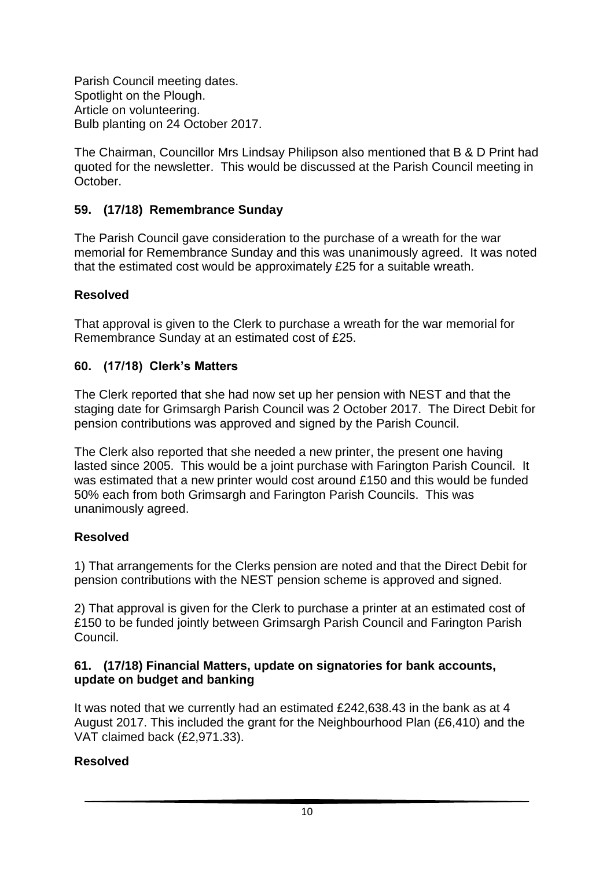Parish Council meeting dates. Spotlight on the Plough. Article on volunteering. Bulb planting on 24 October 2017.

The Chairman, Councillor Mrs Lindsay Philipson also mentioned that B & D Print had quoted for the newsletter. This would be discussed at the Parish Council meeting in October.

## **59. (17/18) Remembrance Sunday**

The Parish Council gave consideration to the purchase of a wreath for the war memorial for Remembrance Sunday and this was unanimously agreed. It was noted that the estimated cost would be approximately £25 for a suitable wreath.

### **Resolved**

That approval is given to the Clerk to purchase a wreath for the war memorial for Remembrance Sunday at an estimated cost of £25.

### **60. (17/18) Clerk's Matters**

The Clerk reported that she had now set up her pension with NEST and that the staging date for Grimsargh Parish Council was 2 October 2017. The Direct Debit for pension contributions was approved and signed by the Parish Council.

The Clerk also reported that she needed a new printer, the present one having lasted since 2005. This would be a joint purchase with Farington Parish Council. It was estimated that a new printer would cost around £150 and this would be funded 50% each from both Grimsargh and Farington Parish Councils. This was unanimously agreed.

## **Resolved**

1) That arrangements for the Clerks pension are noted and that the Direct Debit for pension contributions with the NEST pension scheme is approved and signed.

2) That approval is given for the Clerk to purchase a printer at an estimated cost of £150 to be funded jointly between Grimsargh Parish Council and Farington Parish Council.

#### **61. (17/18) Financial Matters, update on signatories for bank accounts, update on budget and banking**

It was noted that we currently had an estimated £242,638.43 in the bank as at 4 August 2017. This included the grant for the Neighbourhood Plan (£6,410) and the VAT claimed back (£2,971.33).

### **Resolved**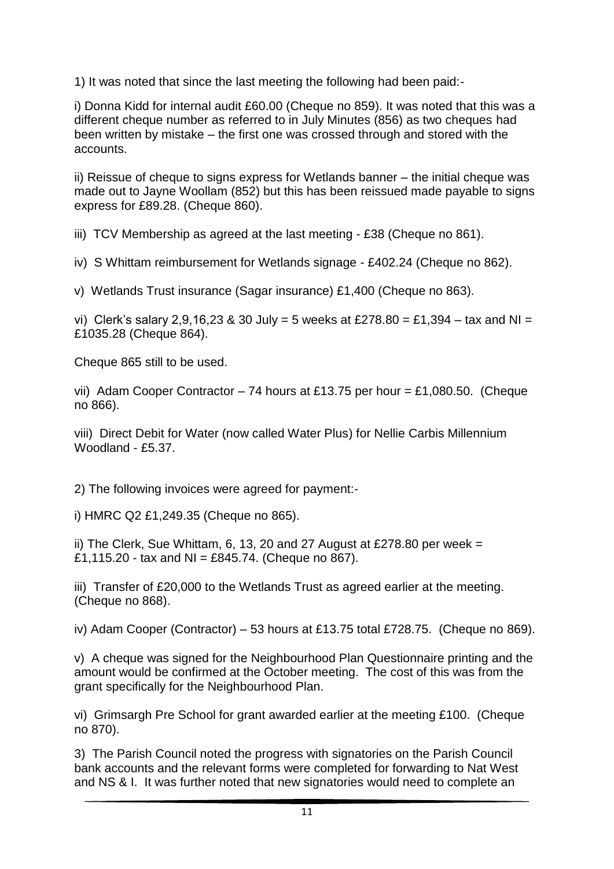1) It was noted that since the last meeting the following had been paid:-

i) Donna Kidd for internal audit £60.00 (Cheque no 859). It was noted that this was a different cheque number as referred to in July Minutes (856) as two cheques had been written by mistake – the first one was crossed through and stored with the accounts.

ii) Reissue of cheque to signs express for Wetlands banner – the initial cheque was made out to Jayne Woollam (852) but this has been reissued made payable to signs express for £89.28. (Cheque 860).

iii) TCV Membership as agreed at the last meeting - £38 (Cheque no 861).

iv) S Whittam reimbursement for Wetlands signage - £402.24 (Cheque no 862).

v) Wetlands Trust insurance (Sagar insurance) £1,400 (Cheque no 863).

vi) Clerk's salary 2,9,16,23 & 30 July = 5 weeks at £278.80 = £1,394 – tax and NI = £1035.28 (Cheque 864).

Cheque 865 still to be used.

vii) Adam Cooper Contractor – 74 hours at £13.75 per hour = £1,080.50. (Cheque no 866).

viii) Direct Debit for Water (now called Water Plus) for Nellie Carbis Millennium Woodland - £5.37.

2) The following invoices were agreed for payment:-

i) HMRC Q2 £1,249.35 (Cheque no 865).

ii) The Clerk, Sue Whittam, 6, 13, 20 and 27 August at £278.80 per week  $=$ £1,115.20 - tax and NI = £845.74. (Cheque no 867).

iii) Transfer of £20,000 to the Wetlands Trust as agreed earlier at the meeting. (Cheque no 868).

iv) Adam Cooper (Contractor) – 53 hours at £13.75 total £728.75. (Cheque no 869).

v) A cheque was signed for the Neighbourhood Plan Questionnaire printing and the amount would be confirmed at the October meeting. The cost of this was from the grant specifically for the Neighbourhood Plan.

vi) Grimsargh Pre School for grant awarded earlier at the meeting £100. (Cheque no 870).

3) The Parish Council noted the progress with signatories on the Parish Council bank accounts and the relevant forms were completed for forwarding to Nat West and NS & I. It was further noted that new signatories would need to complete an